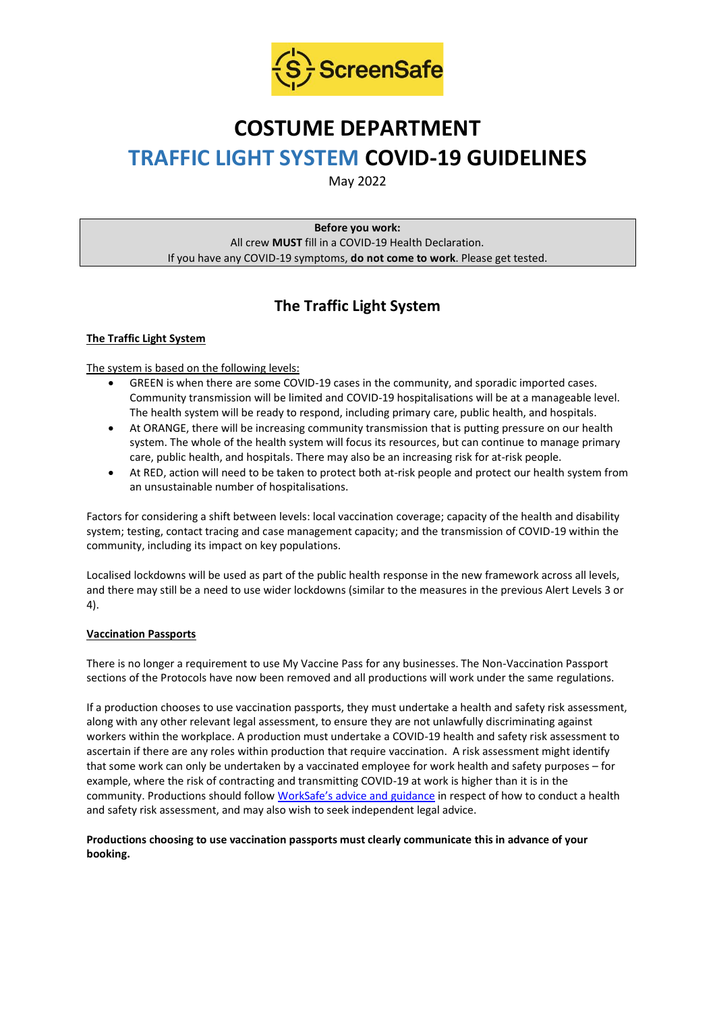

# **COSTUME DEPARTMENT TRAFFIC LIGHT SYSTEM COVID-19 GUIDELINES**

May 2022

**Before you work:** All crew **MUST** fill in a COVID-19 Health Declaration. If you have any COVID-19 symptoms, **do not come to work**. Please get tested.

## **The Traffic Light System**

#### **The Traffic Light System**

The system is based on the following levels:

- GREEN is when there are some COVID-19 cases in the community, and sporadic imported cases. Community transmission will be limited and COVID-19 hospitalisations will be at a manageable level. The health system will be ready to respond, including primary care, public health, and hospitals.
- At ORANGE, there will be increasing community transmission that is putting pressure on our health system. The whole of the health system will focus its resources, but can continue to manage primary care, public health, and hospitals. There may also be an increasing risk for at-risk people.
- At RED, action will need to be taken to protect both at-risk people and protect our health system from an unsustainable number of hospitalisations.

Factors for considering a shift between levels: local vaccination coverage; capacity of the health and disability system; testing, contact tracing and case management capacity; and the transmission of COVID-19 within the community, including its impact on key populations.

Localised lockdowns will be used as part of the public health response in the new framework across all levels, and there may still be a need to use wider lockdowns (similar to the measures in the previous Alert Levels 3 or 4).

#### **Vaccination Passports**

There is no longer a requirement to use My Vaccine Pass for any businesses. The Non-Vaccination Passport sections of the Protocols have now been removed and all productions will work under the same regulations.

If a production chooses to use vaccination passports, they must undertake a health and safety risk assessment, along with any other relevant legal assessment, to ensure they are not unlawfully discriminating against workers within the workplace. A production must undertake a COVID-19 health and safety risk assessment to ascertain if there are any roles within production that require vaccination. A risk assessment might identify that some work can only be undertaken by a vaccinated employee for work health and safety purposes – for example, where the risk of contracting and transmitting COVID-19 at work is higher than it is in the community. Productions should follow [WorkSafe's advice and guidance](https://www.worksafe.govt.nz/managing-health-and-safety/novel-coronavirus-covid/covid-19-controls-at-work/) in respect of how to conduct a health and safety risk assessment, and may also wish to seek independent legal advice.

#### **Productions choosing to use vaccination passports must clearly communicate this in advance of your booking.**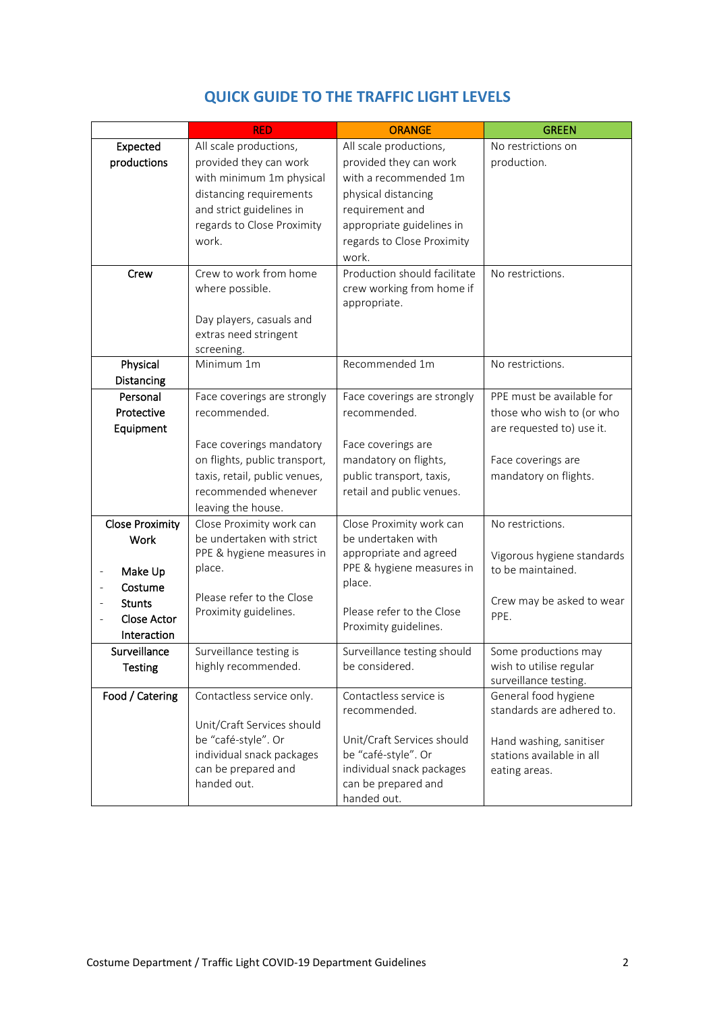|                                     | <b>RED</b>                                                                                                                                        | <b>ORANGE</b>                                                                                                                                                 | <b>GREEN</b>                                                                                                               |
|-------------------------------------|---------------------------------------------------------------------------------------------------------------------------------------------------|---------------------------------------------------------------------------------------------------------------------------------------------------------------|----------------------------------------------------------------------------------------------------------------------------|
| Expected                            | All scale productions,                                                                                                                            | All scale productions,                                                                                                                                        | No restrictions on                                                                                                         |
| productions                         | provided they can work<br>with minimum 1m physical<br>distancing requirements<br>and strict guidelines in<br>regards to Close Proximity<br>work.  | provided they can work<br>with a recommended 1m<br>physical distancing<br>requirement and<br>appropriate guidelines in<br>regards to Close Proximity<br>work. | production.                                                                                                                |
| Crew                                | Crew to work from home<br>where possible.<br>Day players, casuals and<br>extras need stringent<br>screening.                                      | Production should facilitate<br>crew working from home if<br>appropriate.                                                                                     | No restrictions.                                                                                                           |
| Physical                            | Minimum 1m                                                                                                                                        | Recommended 1m                                                                                                                                                | No restrictions.                                                                                                           |
| Distancing                          |                                                                                                                                                   |                                                                                                                                                               |                                                                                                                            |
| Personal                            | Face coverings are strongly                                                                                                                       | Face coverings are strongly                                                                                                                                   | PPE must be available for                                                                                                  |
| Protective<br>Equipment             | recommended.                                                                                                                                      | recommended.                                                                                                                                                  | those who wish to (or who<br>are requested to) use it.                                                                     |
|                                     | Face coverings mandatory<br>on flights, public transport,<br>taxis, retail, public venues,<br>recommended whenever<br>leaving the house.          | Face coverings are<br>mandatory on flights,<br>public transport, taxis,<br>retail and public venues.                                                          | Face coverings are<br>mandatory on flights.                                                                                |
| <b>Close Proximity</b>              | Close Proximity work can                                                                                                                          | Close Proximity work can                                                                                                                                      | No restrictions.                                                                                                           |
| Work                                | be undertaken with strict                                                                                                                         | be undertaken with                                                                                                                                            |                                                                                                                            |
| Make Up<br>Costume<br><b>Stunts</b> | PPE & hygiene measures in<br>place.<br>Please refer to the Close                                                                                  | appropriate and agreed<br>PPE & hygiene measures in<br>place.                                                                                                 | Vigorous hygiene standards<br>to be maintained.<br>Crew may be asked to wear                                               |
| Close Actor<br>Interaction          | Proximity guidelines.                                                                                                                             | Please refer to the Close<br>Proximity guidelines.                                                                                                            | PPE.                                                                                                                       |
| Surveillance<br><b>Testing</b>      | Surveillance testing is<br>highly recommended.                                                                                                    | Surveillance testing should<br>be considered.                                                                                                                 | Some productions may<br>wish to utilise regular<br>surveillance testing.                                                   |
| Food / Catering                     | Contactless service only.<br>Unit/Craft Services should<br>be "café-style". Or<br>individual snack packages<br>can be prepared and<br>handed out. | Contactless service is<br>recommended.<br>Unit/Craft Services should<br>be "café-style". Or<br>individual snack packages<br>can be prepared and               | General food hygiene<br>standards are adhered to.<br>Hand washing, sanitiser<br>stations available in all<br>eating areas. |
|                                     |                                                                                                                                                   | handed out.                                                                                                                                                   |                                                                                                                            |

### **QUICK GUIDE TO THE TRAFFIC LIGHT LEVELS**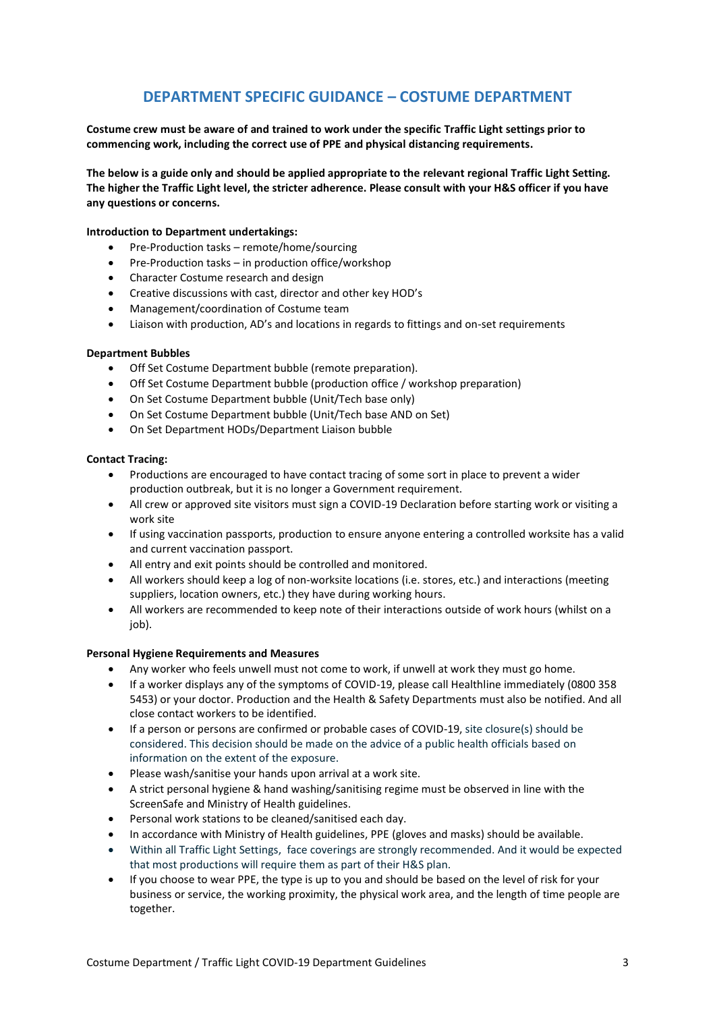### **DEPARTMENT SPECIFIC GUIDANCE – COSTUME DEPARTMENT**

**Costume crew must be aware of and trained to work under the specific Traffic Light settings prior to commencing work, including the correct use of PPE and physical distancing requirements.**

**The below is a guide only and should be applied appropriate to the relevant regional Traffic Light Setting. The higher the Traffic Light level, the stricter adherence. Please consult with your H&S officer if you have any questions or concerns.**

#### **Introduction to Department undertakings:**

- Pre-Production tasks remote/home/sourcing
- Pre-Production tasks in production office/workshop
- Character Costume research and design
- Creative discussions with cast, director and other key HOD's
- Management/coordination of Costume team
- Liaison with production, AD's and locations in regards to fittings and on-set requirements

#### **Department Bubbles**

- Off Set Costume Department bubble (remote preparation).
- Off Set Costume Department bubble (production office / workshop preparation)
- On Set Costume Department bubble (Unit/Tech base only)
- On Set Costume Department bubble (Unit/Tech base AND on Set)
- On Set Department HODs/Department Liaison bubble

#### **Contact Tracing:**

- Productions are encouraged to have contact tracing of some sort in place to prevent a wider production outbreak, but it is no longer a Government requirement.
- All crew or approved site visitors must sign a COVID-19 Declaration before starting work or visiting a work site
- If using vaccination passports, production to ensure anyone entering a controlled worksite has a valid and current vaccination passport.
- All entry and exit points should be controlled and monitored.
- All workers should keep a log of non-worksite locations (i.e. stores, etc.) and interactions (meeting suppliers, location owners, etc.) they have during working hours.
- All workers are recommended to keep note of their interactions outside of work hours (whilst on a iob).

#### **Personal Hygiene Requirements and Measures**

- Any worker who feels unwell must not come to work, if unwell at work they must go home.
- If a worker displays any of the symptoms of COVID-19, please call Healthline immediately (0800 358 5453) or your doctor. Production and the Health & Safety Departments must also be notified. And all close contact workers to be identified.
- If a person or persons are confirmed or probable cases of COVID-19, site closure(s) should be considered. This decision should be made on the advice of a public health officials based on information on the extent of the exposure.
- Please wash/sanitise your hands upon arrival at a work site.
- A strict personal hygiene & hand washing/sanitising regime must be observed in line with the ScreenSafe and Ministry of Health guidelines.
- Personal work stations to be cleaned/sanitised each day.
- In accordance with Ministry of Health guidelines, PPE (gloves and masks) should be available.
- Within all Traffic Light Settings, face coverings are strongly recommended. And it would be expected that most productions will require them as part of their H&S plan.
- If you choose to wear PPE, the type is up to you and should be based on the level of risk for your business or service, the working proximity, the physical work area, and the length of time people are together.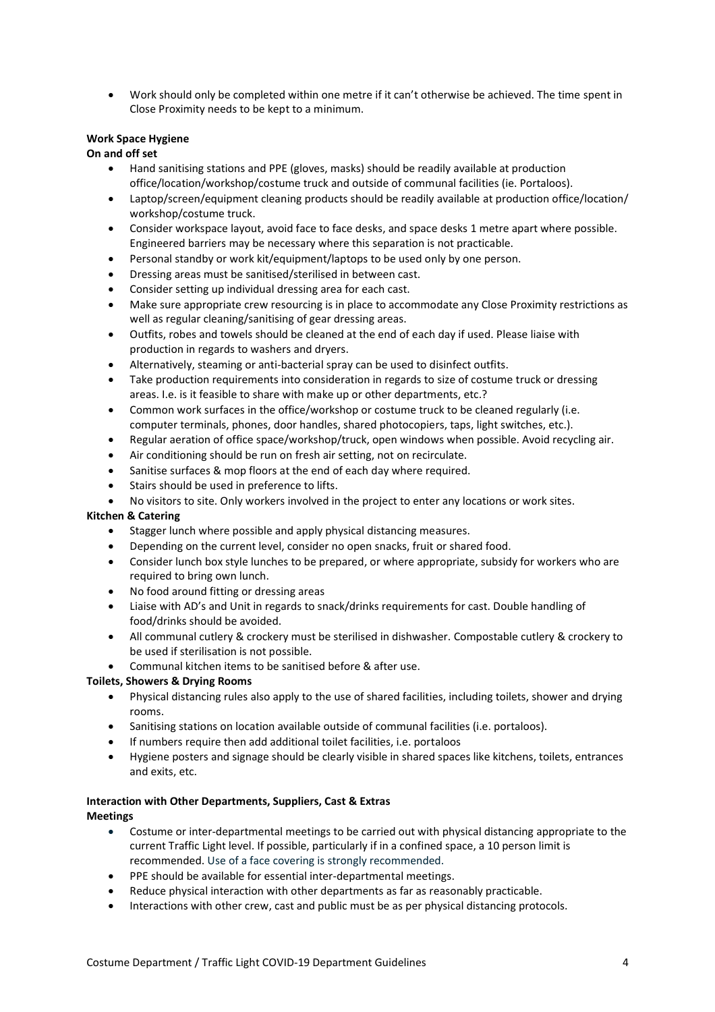• Work should only be completed within one metre if it can't otherwise be achieved. The time spent in Close Proximity needs to be kept to a minimum.

#### **Work Space Hygiene**

**On and off set**

- Hand sanitising stations and PPE (gloves, masks) should be readily available at production office/location/workshop/costume truck and outside of communal facilities (ie. Portaloos).
- Laptop/screen/equipment cleaning products should be readily available at production office/location/ workshop/costume truck.
- Consider workspace layout, avoid face to face desks, and space desks 1 metre apart where possible. Engineered barriers may be necessary where this separation is not practicable.
- Personal standby or work kit/equipment/laptops to be used only by one person.
- Dressing areas must be sanitised/sterilised in between cast.
- Consider setting up individual dressing area for each cast.
- Make sure appropriate crew resourcing is in place to accommodate any Close Proximity restrictions as well as regular cleaning/sanitising of gear dressing areas.
- Outfits, robes and towels should be cleaned at the end of each day if used. Please liaise with production in regards to washers and dryers.
- Alternatively, steaming or anti-bacterial spray can be used to disinfect outfits.
- Take production requirements into consideration in regards to size of costume truck or dressing areas. I.e. is it feasible to share with make up or other departments, etc.?
- Common work surfaces in the office/workshop or costume truck to be cleaned regularly (i.e. computer terminals, phones, door handles, shared photocopiers, taps, light switches, etc.).
- Regular aeration of office space/workshop/truck, open windows when possible. Avoid recycling air.
- Air conditioning should be run on fresh air setting, not on recirculate.
- Sanitise surfaces & mop floors at the end of each day where required.
- Stairs should be used in preference to lifts.
- No visitors to site. Only workers involved in the project to enter any locations or work sites.

#### **Kitchen & Catering**

- Stagger lunch where possible and apply physical distancing measures.
- Depending on the current level, consider no open snacks, fruit or shared food.
- Consider lunch box style lunches to be prepared, or where appropriate, subsidy for workers who are required to bring own lunch.
- No food around fitting or dressing areas
- Liaise with AD's and Unit in regards to snack/drinks requirements for cast. Double handling of food/drinks should be avoided.
- All communal cutlery & crockery must be sterilised in dishwasher. Compostable cutlery & crockery to be used if sterilisation is not possible.
- Communal kitchen items to be sanitised before & after use.

#### **Toilets, Showers & Drying Rooms**

- Physical distancing rules also apply to the use of shared facilities, including toilets, shower and drying rooms.
- Sanitising stations on location available outside of communal facilities (i.e. portaloos).
- If numbers require then add additional toilet facilities, i.e. portaloos
- Hygiene posters and signage should be clearly visible in shared spaces like kitchens, toilets, entrances and exits, etc.

#### **Interaction with Other Departments, Suppliers, Cast & Extras Meetings**

- Costume or inter-departmental meetings to be carried out with physical distancing appropriate to the current Traffic Light level. If possible, particularly if in a confined space, a 10 person limit is recommended. Use of a face covering is strongly recommended.
- PPE should be available for essential inter-departmental meetings.
- Reduce physical interaction with other departments as far as reasonably practicable.
- Interactions with other crew, cast and public must be as per physical distancing protocols.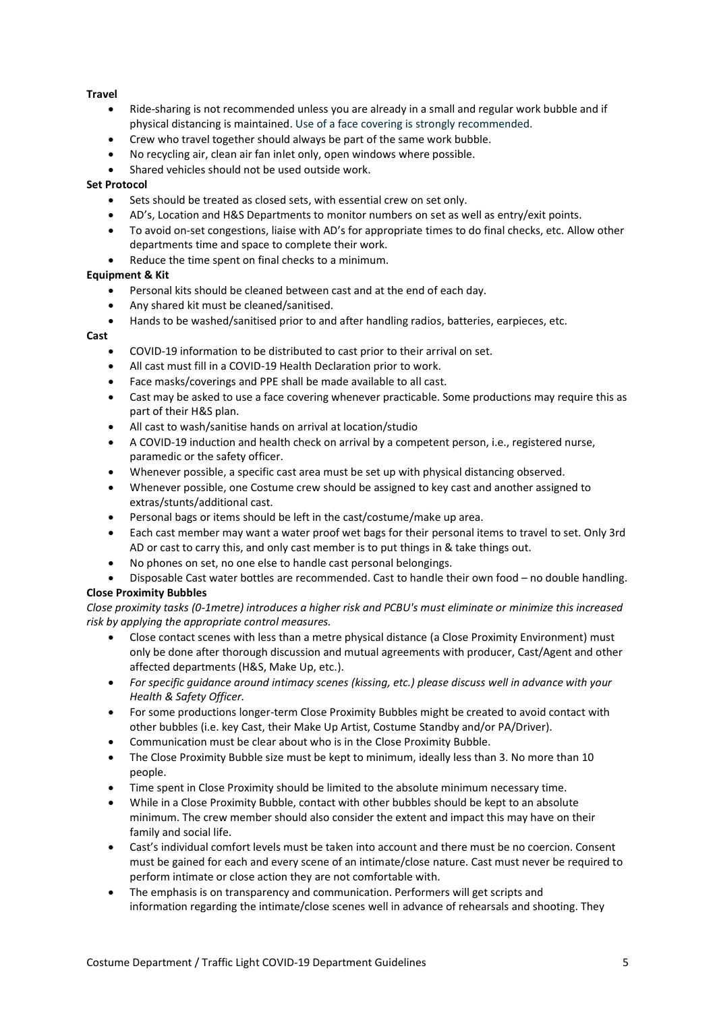#### **Travel**

- Ride-sharing is not recommended unless you are already in a small and regular work bubble and if physical distancing is maintained. Use of a face covering is strongly recommended.
- Crew who travel together should always be part of the same work bubble.
- No recycling air, clean air fan inlet only, open windows where possible.
- Shared vehicles should not be used outside work.

#### **Set Protocol**

- Sets should be treated as closed sets, with essential crew on set only.
- AD's, Location and H&S Departments to monitor numbers on set as well as entry/exit points.
- To avoid on-set congestions, liaise with AD's for appropriate times to do final checks, etc. Allow other departments time and space to complete their work.
- Reduce the time spent on final checks to a minimum.

#### **Equipment & Kit**

- Personal kits should be cleaned between cast and at the end of each day.
- Any shared kit must be cleaned/sanitised.
- Hands to be washed/sanitised prior to and after handling radios, batteries, earpieces, etc.

#### **Cast**

- COVID-19 information to be distributed to cast prior to their arrival on set.
- All cast must fill in a COVID-19 Health Declaration prior to work.
- Face masks/coverings and PPE shall be made available to all cast.
- Cast may be asked to use a face covering whenever practicable. Some productions may require this as part of their H&S plan.
- All cast to wash/sanitise hands on arrival at location/studio
- A COVID-19 induction and health check on arrival by a competent person, i.e., registered nurse, paramedic or the safety officer.
- Whenever possible, a specific cast area must be set up with physical distancing observed.
- Whenever possible, one Costume crew should be assigned to key cast and another assigned to extras/stunts/additional cast.
- Personal bags or items should be left in the cast/costume/make up area.
- Each cast member may want a water proof wet bags for their personal items to travel to set. Only 3rd AD or cast to carry this, and only cast member is to put things in & take things out.
- No phones on set, no one else to handle cast personal belongings.
- Disposable Cast water bottles are recommended. Cast to handle their own food no double handling.

#### **Close Proximity Bubbles**

*Close proximity tasks (0-1metre) introduces a higher risk and PCBU's must eliminate or minimize this increased risk by applying the appropriate control measures.* 

- Close contact scenes with less than a metre physical distance (a Close Proximity Environment) must only be done after thorough discussion and mutual agreements with producer, Cast/Agent and other affected departments (H&S, Make Up, etc.).
- *For specific guidance around intimacy scenes (kissing, etc.) please discuss well in advance with your Health & Safety Officer.*
- For some productions longer-term Close Proximity Bubbles might be created to avoid contact with other bubbles (i.e. key Cast, their Make Up Artist, Costume Standby and/or PA/Driver).
- Communication must be clear about who is in the Close Proximity Bubble.
- The Close Proximity Bubble size must be kept to minimum, ideally less than 3. No more than 10 people.
- Time spent in Close Proximity should be limited to the absolute minimum necessary time.
- While in a Close Proximity Bubble, contact with other bubbles should be kept to an absolute minimum. The crew member should also consider the extent and impact this may have on their family and social life.
- Cast's individual comfort levels must be taken into account and there must be no coercion. Consent must be gained for each and every scene of an intimate/close nature. Cast must never be required to perform intimate or close action they are not comfortable with.
- The emphasis is on transparency and communication. Performers will get scripts and information regarding the intimate/close scenes well in advance of rehearsals and shooting. They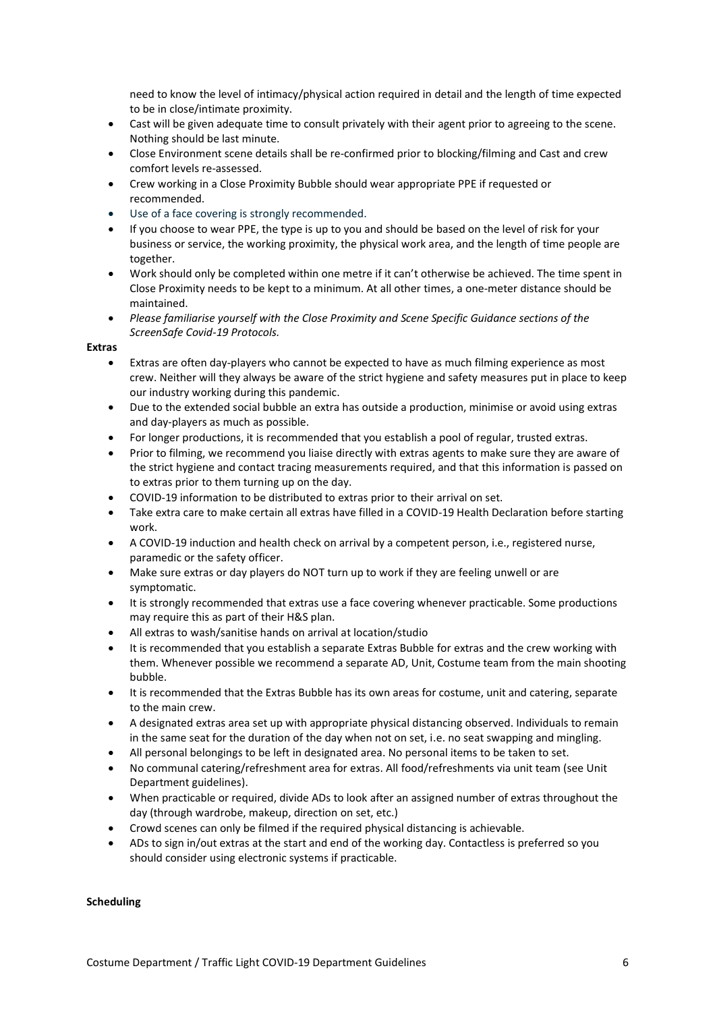need to know the level of intimacy/physical action required in detail and the length of time expected to be in close/intimate proximity.

- Cast will be given adequate time to consult privately with their agent prior to agreeing to the scene. Nothing should be last minute.
- Close Environment scene details shall be re-confirmed prior to blocking/filming and Cast and crew comfort levels re-assessed.
- Crew working in a Close Proximity Bubble should wear appropriate PPE if requested or recommended.
- Use of a face covering is strongly recommended.
- If you choose to wear PPE, the type is up to you and should be based on the level of risk for your business or service, the working proximity, the physical work area, and the length of time people are together.
- Work should only be completed within one metre if it can't otherwise be achieved. The time spent in Close Proximity needs to be kept to a minimum. At all other times, a one-meter distance should be maintained.
- *Please familiarise yourself with the Close Proximity and Scene Specific Guidance sections of the ScreenSafe Covid-19 Protocols.*

#### **Extras**

- Extras are often day-players who cannot be expected to have as much filming experience as most crew. Neither will they always be aware of the strict hygiene and safety measures put in place to keep our industry working during this pandemic.
- Due to the extended social bubble an extra has outside a production, minimise or avoid using extras and day-players as much as possible.
- For longer productions, it is recommended that you establish a pool of regular, trusted extras.
- Prior to filming, we recommend you liaise directly with extras agents to make sure they are aware of the strict hygiene and contact tracing measurements required, and that this information is passed on to extras prior to them turning up on the day.
- COVID-19 information to be distributed to extras prior to their arrival on set.
- Take extra care to make certain all extras have filled in a COVID-19 Health Declaration before starting work.
- A COVID-19 induction and health check on arrival by a competent person, i.e., registered nurse, paramedic or the safety officer.
- Make sure extras or day players do NOT turn up to work if they are feeling unwell or are symptomatic.
- It is strongly recommended that extras use a face covering whenever practicable. Some productions may require this as part of their H&S plan.
- All extras to wash/sanitise hands on arrival at location/studio
- It is recommended that you establish a separate Extras Bubble for extras and the crew working with them. Whenever possible we recommend a separate AD, Unit, Costume team from the main shooting bubble.
- It is recommended that the Extras Bubble has its own areas for costume, unit and catering, separate to the main crew.
- A designated extras area set up with appropriate physical distancing observed. Individuals to remain in the same seat for the duration of the day when not on set, i.e. no seat swapping and mingling.
- All personal belongings to be left in designated area. No personal items to be taken to set.
- No communal catering/refreshment area for extras. All food/refreshments via unit team (see Unit Department guidelines).
- When practicable or required, divide ADs to look after an assigned number of extras throughout the day (through wardrobe, makeup, direction on set, etc.)
- Crowd scenes can only be filmed if the required physical distancing is achievable.
- ADs to sign in/out extras at the start and end of the working day. Contactless is preferred so you should consider using electronic systems if practicable.

#### **Scheduling**